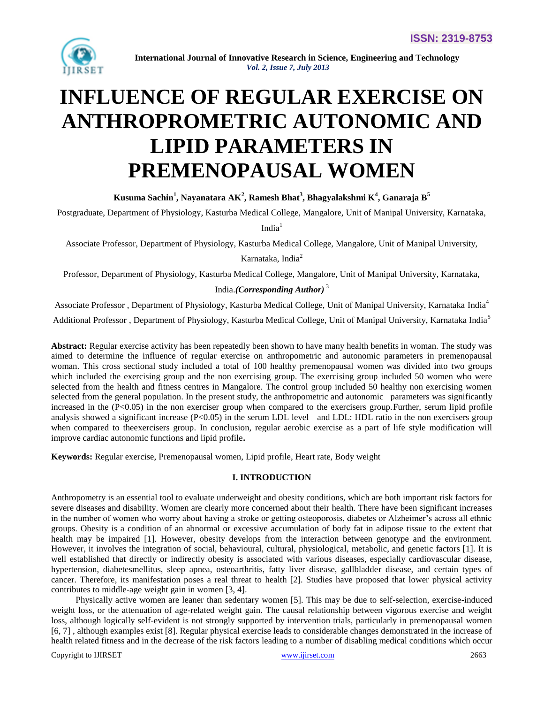

# **INFLUENCE OF REGULAR EXERCISE ON ANTHROPROMETRIC AUTONOMIC AND LIPID PARAMETERS IN PREMENOPAUSAL WOMEN**

**Kusuma Sachin<sup>1</sup> , Nayanatara AK<sup>2</sup> , Ramesh Bhat<sup>3</sup> , Bhagyalakshmi K<sup>4</sup> , Ganaraja B<sup>5</sup>**

Postgraduate, Department of Physiology, Kasturba Medical College, Mangalore, Unit of Manipal University, Karnataka,

 $India<sup>1</sup>$ 

Associate Professor, Department of Physiology, Kasturba Medical College, Mangalore, Unit of Manipal University,

Karnataka, India<sup>2</sup>

Professor, Department of Physiology, Kasturba Medical College, Mangalore, Unit of Manipal University, Karnataka,

# India.*(Corresponding Author)* <sup>3</sup>

Associate Professor , Department of Physiology, Kasturba Medical College, Unit of Manipal University, Karnataka India<sup>4</sup>

Additional Professor, Department of Physiology, Kasturba Medical College, Unit of Manipal University, Karnataka India<sup>5</sup>

**Abstract:** Regular exercise activity has been repeatedly been shown to have many health benefits in woman. The study was aimed to determine the influence of regular exercise on anthropometric and autonomic parameters in premenopausal woman. This cross sectional study included a total of 100 healthy premenopausal women was divided into two groups which included the exercising group and the non exercising group. The exercising group included 50 women who were selected from the health and fitness centres in Mangalore. The control group included 50 healthy non exercising women selected from the general population. In the present study, the anthropometric and autonomic parameters was significantly increased in the  $(P<0.05)$  in the non exerciser group when compared to the exercisers group. Further, serum lipid profile analysis showed a significant increase (P<0.05) in the serum LDL level and LDL: HDL ratio in the non exercisers group when compared to theexercisers group. In conclusion, regular aerobic exercise as a part of life style modification will improve cardiac autonomic functions and lipid profile**.**

**Keywords:** Regular exercise, Premenopausal women, Lipid profile, Heart rate, Body weight

# **I. INTRODUCTION**

Anthropometry is an essential tool to evaluate underweight and obesity conditions, which are both important risk factors for severe diseases and disability. Women are clearly more concerned about their health. There have been significant increases in the number of women who worry about having a stroke or getting osteoporosis, diabetes or Alzheimer's across all ethnic groups. Obesity is a condition of an abnormal or excessive accumulation of body fat in adipose tissue to the extent that health may be impaired [1]. However, obesity develops from the interaction between genotype and the environment. However, it involves the integration of social, behavioural, cultural, physiological, metabolic, and genetic factors [1]. It is well established that directly or indirectly obesity is associated with various diseases, especially cardiovascular disease, hypertension, diabetesmellitus, sleep apnea, osteoarthritis, fatty liver disease, gallbladder disease, and certain types of cancer. Therefore, its manifestation poses a real threat to health [2]. Studies have proposed that lower physical activity contributes to middle-age weight gain in women [3, 4].

 Physically active women are leaner than sedentary women [5]. This may be due to self-selection, exercise-induced weight loss, or the attenuation of age-related weight gain. The causal relationship between vigorous exercise and weight loss, although logically self-evident is not strongly supported by intervention trials, particularly in premenopausal women [6, 7] , although examples exist [8]. Regular physical exercise leads to considerable changes demonstrated in the increase of health related fitness and in the decrease of the risk factors leading to a number of disabling medical conditions which occur

Copyright to IJIRSET [www.ijirset.com](http://www.ijirset.com/) 2663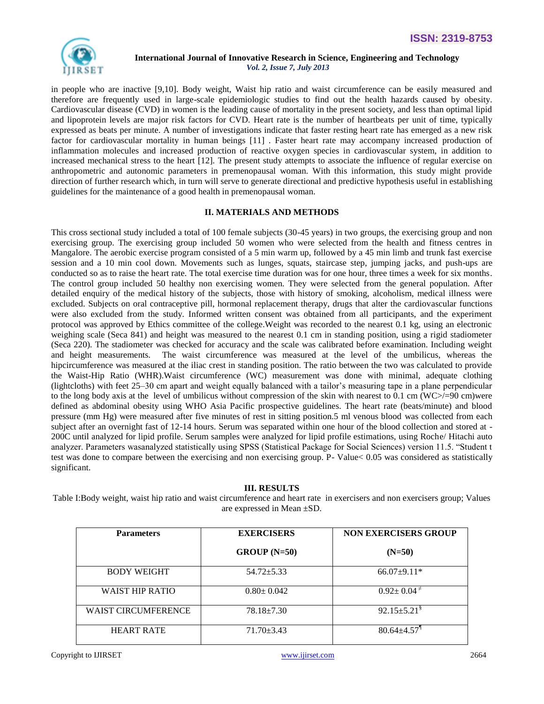

in people who are inactive [9,10]. Body weight, Waist hip ratio and waist circumference can be easily measured and therefore are frequently used in large-scale epidemiologic studies to find out the health hazards caused by obesity. Cardiovascular disease (CVD) in women is the leading cause of mortality in the present society, and less than optimal lipid and lipoprotein levels are major risk factors for CVD. Heart rate is the number of heartbeats per unit of time, typically expressed as beats per minute. A number of investigations indicate that faster resting heart rate has emerged as a new risk factor for cardiovascular mortality in human beings [11] . Faster heart rate may accompany increased production of inflammation molecules and increased production of reactive oxygen species in cardiovascular system, in addition to increased mechanical stress to the heart [12]. The present study attempts to associate the influence of regular exercise on anthropometric and autonomic parameters in premenopausal woman. With this information, this study might provide direction of further research which, in turn will serve to generate directional and predictive hypothesis useful in establishing guidelines for the maintenance of a good health in premenopausal woman.

# **II. MATERIALS AND METHODS**

This cross sectional study included a total of 100 female subjects (30-45 years) in two groups, the exercising group and non exercising group. The exercising group included 50 women who were selected from the health and fitness centres in Mangalore. The aerobic exercise program consisted of a 5 min warm up, followed by a 45 min limb and trunk fast exercise session and a 10 min cool down. Movements such as lunges, squats, staircase step, jumping jacks, and push-ups are conducted so as to raise the heart rate. The total exercise time duration was for one hour, three times a week for six months. The control group included 50 healthy non exercising women. They were selected from the general population. After detailed enquiry of the medical history of the subjects, those with history of smoking, alcoholism, medical illness were excluded. Subjects on oral contraceptive pill, hormonal replacement therapy, drugs that alter the cardiovascular functions were also excluded from the study. Informed written consent was obtained from all participants, and the experiment protocol was approved by Ethics committee of the college.Weight was recorded to the nearest 0.1 kg, using an electronic weighing scale (Seca 841) and height was measured to the nearest 0.1 cm in standing position, using a rigid stadiometer (Seca 220). The stadiometer was checked for accuracy and the scale was calibrated before examination. Including weight and height measurements. The waist circumference was measured at the level of the umbilicus, whereas the hipcircumference was measured at the iliac crest in standing position. The ratio between the two was calculated to provide the Waist-Hip Ratio (WHR).Waist circumference (WC) measurement was done with minimal, adequate clothing (lightcloths) with feet 25–30 cm apart and weight equally balanced with a tailor's measuring tape in a plane perpendicular to the long body axis at the level of umbilicus without compression of the skin with nearest to 0.1 cm ( $WC$ /=90 cm)were defined as abdominal obesity using WHO Asia Pacific prospective guidelines. The heart rate (beats/minute) and blood pressure (mm Hg) were measured after five minutes of rest in sitting position.5 ml venous blood was collected from each subject after an overnight fast of 12-14 hours. Serum was separated within one hour of the blood collection and stored at - 200C until analyzed for lipid profile. Serum samples were analyzed for lipid profile estimations, using Roche/ Hitachi auto analyzer. Parameters wasanalyzed statistically using SPSS (Statistical Package for Social Sciences) version 11.5. "Student t test was done to compare between the exercising and non exercising group. P- Value< 0.05 was considered as statistically significant.

#### **III. RESULTS**

Table I:Body weight, waist hip ratio and waist circumference and heart rate in exercisers and non exercisers group; Values are expressed in Mean ±SD.

| <b>Parameters</b>          | <b>EXERCISERS</b> | <b>NON EXERCISERS GROUP</b>   |
|----------------------------|-------------------|-------------------------------|
|                            | $GROUP(N=50)$     | $(N=50)$                      |
| <b>BODY WEIGHT</b>         | $54.72 \pm 5.33$  | $66.07 \pm 9.11*$             |
| <b>WAIST HIP RATIO</b>     | $0.80 \pm 0.042$  | $0.92 \pm 0.04^{\pm}$         |
| <b>WAIST CIRCUMFERENCE</b> | $78.18 \pm 7.30$  | $92.15 \pm 5.21$ <sup>§</sup> |
| <b>HEART RATE</b>          | $71.70 \pm 3.43$  | $80.64 + 4.57$ <sup>1</sup>   |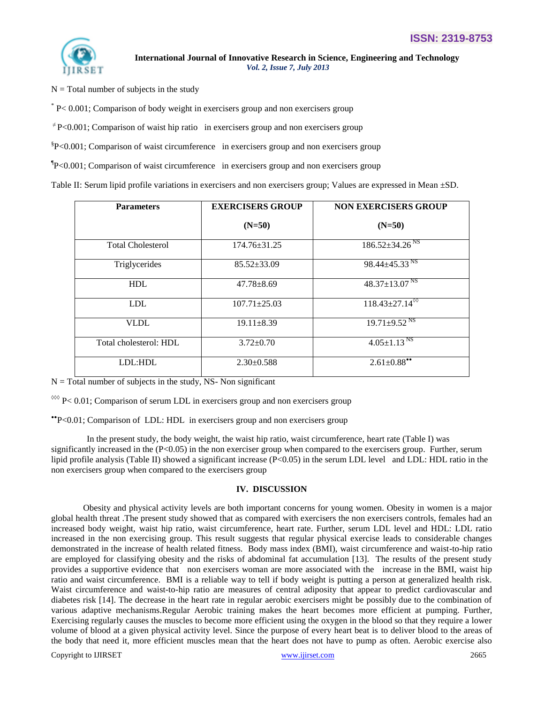

 $N = Total number of subjects in the study$ 

\* P< 0.001; Comparison of body weight in exercisers group and non exercisers group

 $\overline{P}$  P<0.001; Comparison of waist hip ratio in exercisers group and non exercisers group

§ P<0.001; Comparison of waist circumference in exercisers group and non exercisers group

¶ P<0.001; Comparison of waist circumference in exercisers group and non exercisers group

Table II: Serum lipid profile variations in exercisers and non exercisers group; Values are expressed in Mean ±SD.

| <b>Parameters</b>        | <b>EXERCISERS GROUP</b> | <b>NON EXERCISERS GROUP</b>      |
|--------------------------|-------------------------|----------------------------------|
|                          | $(N=50)$                | $(N=50)$                         |
| <b>Total Cholesterol</b> | $174.76 \pm 31.25$      | $186.52 \pm 34.26$ <sup>NS</sup> |
| Triglycerides            | $85.52 \pm 33.09$       | $98.44 \pm 45.33$ <sup>NS</sup>  |
| <b>HDL</b>               | $47.78 \pm 8.69$        | $48.37 \pm 13.07$ <sup>NS</sup>  |
| <b>LDL</b>               | $107.71 \pm 25.03$      | $118.43 \pm 27.14$ <sup>00</sup> |
| <b>VLDL</b>              | $19.11 \pm 8.39$        | $19.71 \pm 9.52$ <sup>NS</sup>   |
| Total cholesterol: HDL   | $3.72 \pm 0.70$         | $4.05 \pm 1.13^{N5}$             |
| LDL:HDL                  | $2.30\pm0.588$          | $2.61 \pm 0.88$ <sup>**</sup>    |

 $N =$ Total number of subjects in the study, NS- Non significant

 $\frac{1000 \text{ P}}{1000 \text{ P}}$  Comparison of serum LDL in exercisers group and non exercisers group

P<0.01; Comparison of LDL: HDL in exercisers group and non exercisers group

 In the present study, the body weight, the waist hip ratio, waist circumference, heart rate (Table I) was significantly increased in the  $(P<0.05)$  in the non exerciser group when compared to the exercisers group. Further, serum lipid profile analysis (Table II) showed a significant increase (P<0.05) in the serum LDL level and LDL: HDL ratio in the non exercisers group when compared to the exercisers group

#### **IV. DISCUSSION**

Obesity and physical activity levels are both important concerns for young women. Obesity in women is a major global health threat .The present study showed that as compared with exercisers the non exercisers controls, females had an increased body weight, waist hip ratio, waist circumference, heart rate. Further, serum LDL level and HDL: LDL ratio increased in the non exercising group. This result suggests that regular physical exercise leads to considerable changes demonstrated in the increase of health related fitness. Body mass index (BMI), waist circumference and waist-to-hip ratio are employed for classifying obesity and the risks of abdominal fat accumulation [13]. The results of the present study provides a supportive evidence that non exercisers woman are more associated with the increase in the BMI, waist hip ratio and waist circumference. BMI is a reliable way to tell if body weight is putting a person at generalized health risk. Waist circumference and waist-to-hip ratio are measures of central adiposity that appear to predict cardiovascular and diabetes risk [14]. The decrease in the heart rate in regular aerobic exercisers might be possibly due to the combination of various adaptive mechanisms.Regular Aerobic training makes the heart becomes more efficient at pumping. Further, Exercising regularly causes the muscles to become more efficient using the oxygen in the blood so that they require a lower volume of blood at a given physical activity level. Since the purpose of every heart beat is to deliver blood to the areas of the body that need it, more efficient muscles mean that the heart does not have to pump as often. Aerobic exercise also

Copyright to IJIRSET [www.ijirset.com](http://www.ijirset.com/) 2665